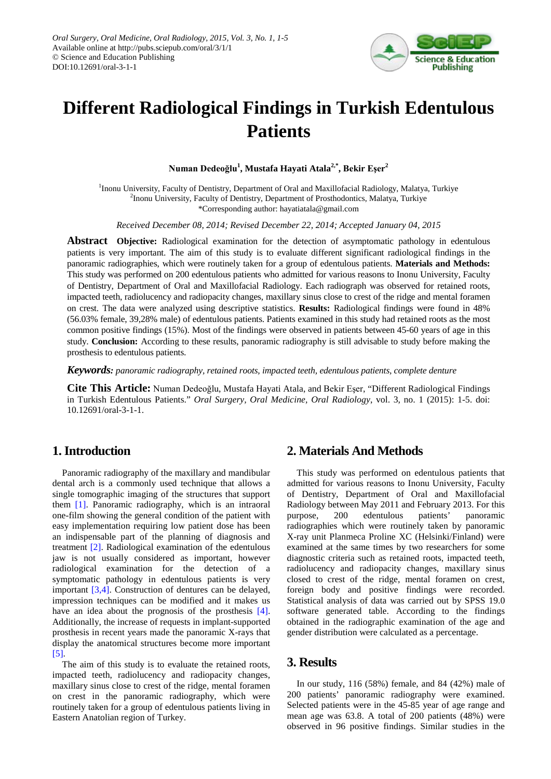

# **Different Radiological Findings in Turkish Edentulous Patients**

**Numan Dedeoğlu<sup>1</sup> , Mustafa Hayati Atala2,\*, Bekir Eşer<sup>2</sup>**

<sup>1</sup>Inonu University, Faculty of Dentistry, Department of Oral and Maxillofacial Radiology, Malatya, Turkiye <sup>2</sup>Inonu University, Faculty of Dentistry, Department of Prosthodontics, Malatya, Turkiye \*Corresponding author: hayatiatala@gmail.com

*Received December 08, 2014; Revised December 22, 2014; Accepted January 04, 2015*

**Abstract Objective:** Radiological examination for the detection of asymptomatic pathology in edentulous patients is very important. The aim of this study is to evaluate different significant radiological findings in the panoramic radiographies, which were routinely taken for a group of edentulous patients. **Materials and Methods:** This study was performed on 200 edentulous patients who admitted for various reasons to Inonu University, Faculty of Dentistry, Department of Oral and Maxillofacial Radiology. Each radiograph was observed for retained roots, impacted teeth, radiolucency and radiopacity changes, maxillary sinus close to crest of the ridge and mental foramen on crest. The data were analyzed using descriptive statistics. **Results:** Radiological findings were found in 48% (56.03% female, 39,28% male) of edentulous patients. Patients examined in this study had retained roots as the most common positive findings (15%). Most of the findings were observed in patients between 45-60 years of age in this study. **Conclusion:** According to these results, panoramic radiography is still advisable to study before making the prosthesis to edentulous patients.

*Keywords: panoramic radiography, retained roots, impacted teeth, edentulous patients, complete denture*

**Cite This Article:** Numan Dedeoğlu, Mustafa Hayati Atala, and Bekir Eşer, "Different Radiological Findings in Turkish Edentulous Patients." *Oral Surgery, Oral Medicine, Oral Radiology*, vol. 3, no. 1 (2015): 1-5. doi: 10.12691/oral-3-1-1.

# **1. Introduction**

Panoramic radiography of the maxillary and mandibular dental arch is a commonly used technique that allows a single tomographic imaging of the structures that support them [\[1\].](#page-3-0) Panoramic radiography, which is an intraoral one-film showing the general condition of the patient with easy implementation requiring low patient dose has been an indispensable part of the planning of diagnosis and treatment [\[2\].](#page-3-1) Radiological examination of the edentulous jaw is not usually considered as important, however radiological examination for the detection of a symptomatic pathology in edentulous patients is very important [\[3,4\].](#page-3-2) Construction of dentures can be delayed, impression techniques can be modified and it makes us have an idea about the prognosis of the prosthesis [\[4\].](#page-3-3) Additionally, the increase of requests in implant-supported prosthesis in recent years made the panoramic X-rays that display the anatomical structures become more important [\[5\].](#page-3-4)

The aim of this study is to evaluate the retained roots, impacted teeth, radiolucency and radiopacity changes, maxillary sinus close to crest of the ridge, mental foramen on crest in the panoramic radiography, which were routinely taken for a group of edentulous patients living in Eastern Anatolian region of Turkey.

## **2. Materials And Methods**

This study was performed on edentulous patients that admitted for various reasons to Inonu University, Faculty of Dentistry, Department of Oral and Maxillofacial Radiology between May 2011 and February 2013. For this purpose, 200 edentulous patients' panoramic radiographies which were routinely taken by panoramic X-ray unit Planmeca Proline XC (Helsinki/Finland) were examined at the same times by two researchers for some diagnostic criteria such as retained roots, impacted teeth, radiolucency and radiopacity changes, maxillary sinus closed to crest of the ridge, mental foramen on crest, foreign body and positive findings were recorded. Statistical analysis of data was carried out by SPSS 19.0 software generated table. According to the findings obtained in the radiographic examination of the age and gender distribution were calculated as a percentage.

### **3. Results**

In our study, 116 (58%) female, and 84 (42%) male of 200 patients' panoramic radiography were examined. Selected patients were in the 45-85 year of age range and mean age was 63.8. A total of 200 patients (48%) were observed in 96 positive findings. Similar studies in the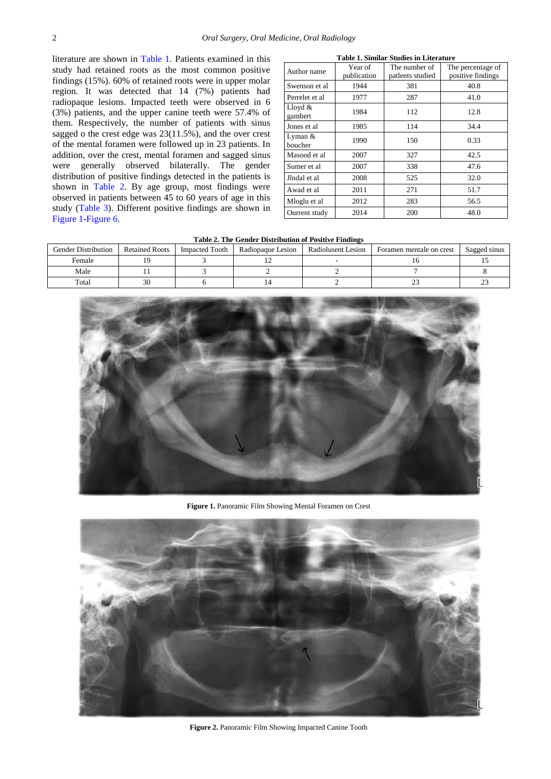literature are shown in [Table 1.](#page-1-0) Patients examined in this study had retained roots as the most common positive findings (15%). 60% of retained roots were in upper molar region. It was detected that 14 (7%) patients had radiopaque lesions. Impacted teeth were observed in 6 (3%) patients, and the upper canine teeth were 57.4% of them. Respectively, the number of patients with sinus sagged o the crest edge was 23(11.5%), and the over crest of the mental foramen were followed up in 23 patients. In addition, over the crest, mental foramen and sagged sinus were generally observed bilaterally. The gender distribution of positive findings detected in the patients is shown in [Table 2.](#page-1-1) By age group, most findings were observed in patients between 45 to 60 years of age in this study [\(Table 3\)](#page-3-5). Different positive findings are shown in [Figure 1-](#page-1-2)[Figure 6.](#page-3-6)

<span id="page-1-0"></span>

| Table 1. Similar Studies in Literature |                        |                                   |                                        |  |  |
|----------------------------------------|------------------------|-----------------------------------|----------------------------------------|--|--|
| Author name                            | Year of<br>publication | The number of<br>patlents studied | The percentage of<br>positive findings |  |  |
| Swenson et al                          | 1944                   | 381                               | 40.8                                   |  |  |
| Perrelet et al                         | 1977                   | 287                               | 41.0                                   |  |  |
| Lloyd $&$<br>gambert                   | 1984                   | 112                               | 12.8                                   |  |  |
| Jones et al.                           | 1985                   | 114                               | 34.4                                   |  |  |
| Lyman $&$<br>boucher                   | 1990                   | 150                               | 0.33                                   |  |  |
| Masood et al                           | 2007                   | 327                               | 42.5                                   |  |  |
| Sumer et al                            | 2007                   | 338                               | 47.6                                   |  |  |
| Jlndal et al                           | 2008                   | 525                               | 32.0                                   |  |  |
| Awad et al                             | 2011                   | 271                               | 51.7                                   |  |  |
| Mloglu et al                           | 2012                   | 283                               | 56.5                                   |  |  |
| Ourrent study                          | 2014                   | 200                               | 48.0                                   |  |  |

**Table 2. The Gender Distribution of Positive Findings**

<span id="page-1-1"></span>

| <b>Gender Distribution</b> | <b>Retained Roots</b> | <b>Impacted Tooth</b> | Radiopaque Lesion | Radiolusent Lesion | Foramen mentale on crest | Sagged sinus |
|----------------------------|-----------------------|-----------------------|-------------------|--------------------|--------------------------|--------------|
| Female                     |                       |                       |                   |                    |                          |              |
| Male                       |                       |                       |                   |                    |                          |              |
| Total                      | 30                    |                       |                   |                    |                          |              |

<span id="page-1-2"></span>

**Figure 1.** Panoramic Film Showing Mental Foramen on Crest



**Figure 2.** Panoramic Film Showing Impacted Canine Tooth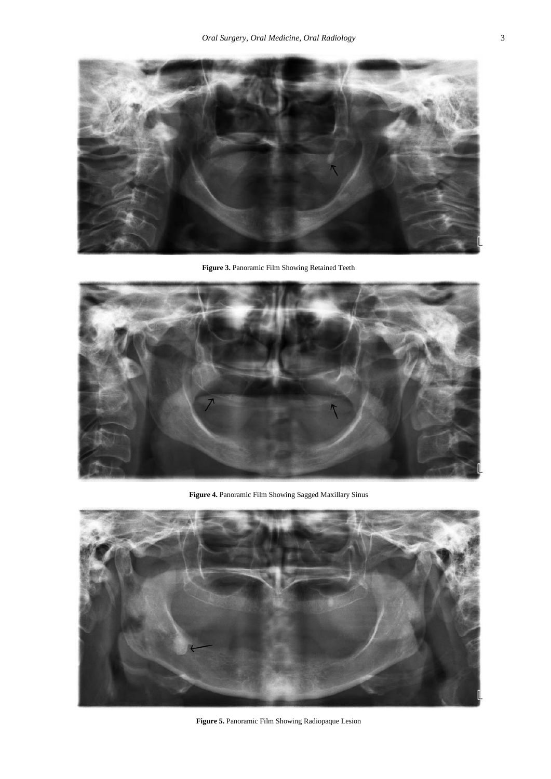

**Figure 3.** Panoramic Film Showing Retained Teeth



**Figure 4.** Panoramic Film Showing Sagged Maxillary Sinus



**Figure 5.** Panoramic Film Showing Radiopaque Lesion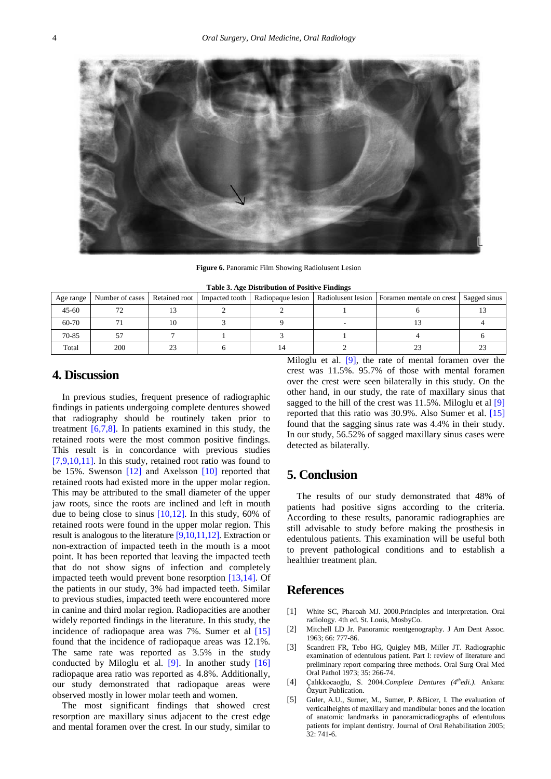<span id="page-3-6"></span>

**Figure 6.** Panoramic Film Showing Radiolusent Lesion

|  | Table 3. Age Distribution of Positive Findings |  |
|--|------------------------------------------------|--|
|  |                                                |  |

<span id="page-3-5"></span>

| Table 9. Age Distribution of I ostave Finances |                 |               |                |                   |  |                                                              |  |
|------------------------------------------------|-----------------|---------------|----------------|-------------------|--|--------------------------------------------------------------|--|
| Age range                                      | Number of cases | Retained root | Impacted tooth | Radiopaque lesion |  | Radiolusent lesion   Foramen mentale on crest   Sagged sinus |  |
| $45 - 60$                                      |                 |               |                |                   |  |                                                              |  |
| 60-70                                          |                 |               |                |                   |  |                                                              |  |
| 70-85                                          |                 |               |                |                   |  |                                                              |  |
| Total                                          | 200             |               |                |                   |  |                                                              |  |

### **4. Discussion**

In previous studies, frequent presence of radiographic findings in patients undergoing complete dentures showed that radiography should be routinely taken prior to treatment  $[6,7,8]$ . In patients examined in this study, the retained roots were the most common positive findings. This result is in concordance with previous studies [\[7,9,10,11\].](#page-4-1) In this study, retained root ratio was found to be 15%. Swenson [\[12\]](#page-4-2) and Axelsson [\[10\]](#page-4-3) reported that retained roots had existed more in the upper molar region. This may be attributed to the small diameter of the upper jaw roots, since the roots are inclined and left in mouth due to being close to sinus [\[10,12\].](#page-4-3) In this study, 60% of retained roots were found in the upper molar region. This result is analogous to the literature [\[9,10,11,12\].](#page-4-4) Extraction or non-extraction of impacted teeth in the mouth is a moot point. It has been reported that leaving the impacted teeth that do not show signs of infection and completely impacted teeth would prevent bone resorption [\[13,14\].](#page-4-5) Of the patients in our study, 3% had impacted teeth. Similar to previous studies, impacted teeth were encountered more in canine and third molar region. Radiopacities are another widely reported findings in the literature. In this study, the incidence of radiopaque area was 7%. Sumer et al [\[15\]](#page-4-6) found that the incidence of radiopaque areas was 12.1%. The same rate was reported as 3.5% in the study conducted by Miloglu et al.  $[9]$ . In another study  $[16]$ radiopaque area ratio was reported as 4.8%. Additionally, our study demonstrated that radiopaque areas were observed mostly in lower molar teeth and women.

The most significant findings that showed crest resorption are maxillary sinus adjacent to the crest edge and mental foramen over the crest. In our study, similar to Miloglu et al. [\[9\],](#page-4-4) the rate of mental foramen over the crest was 11.5%. 95.7% of those with mental foramen over the crest were seen bilaterally in this study. On the other hand, in our study, the rate of maxillary sinus that sagged to the hill of the crest was 11.5%. Miloglu et al [\[9\]](#page-4-4) reported that this ratio was 30.9%. Also Sumer et al. [\[15\]](#page-4-6) found that the sagging sinus rate was 4.4% in their study. In our study, 56.52% of sagged maxillary sinus cases were detected as bilaterally.

# **5. Conclusion**

The results of our study demonstrated that 48% of patients had positive signs according to the criteria. According to these results, panoramic radiographies are still advisable to study before making the prosthesis in edentulous patients. This examination will be useful both to prevent pathological conditions and to establish a healthier treatment plan.

#### **References**

- <span id="page-3-0"></span>[1] White SC, Pharoah MJ. 2000. Principles and interpretation. Oral radiology. 4th ed. St. Louis, MosbyCo.
- <span id="page-3-1"></span>[2] Mitchell LD Jr. Panoramic roentgenography. J Am Dent Assoc. 1963; 66: 777-86.
- <span id="page-3-2"></span>[3] Scandrett FR, Tebo HG, Quigley MB, Miller JT. Radiographic examination of edentulous patient. Part I: review of literature and preliminary report comparing three methods. Oral Surg Oral Med Oral Pathol 1973; 35: 266-74.
- <span id="page-3-3"></span>[4] Çalıkkocaoğlu, S. 2004.*Complete Dentures (4thedi.)*. Ankara: Özyurt Publication.
- <span id="page-3-4"></span>[5] Guler, A.U., Sumer, M., Sumer, P. &Bicer, I. The evaluation of verticalheights of maxillary and mandibular bones and the location of anatomic landmarks in panoramicradiographs of edentulous patients for implant dentistry. Journal of Oral Rehabilitation 2005; 32: 741-6.